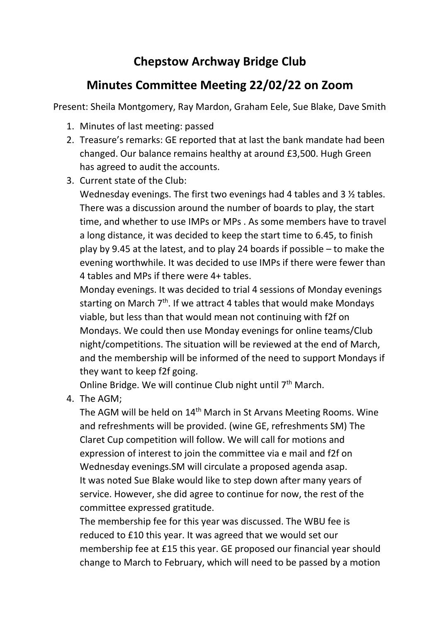## **Chepstow Archway Bridge Club**

## **Minutes Committee Meeting 22/02/22 on Zoom**

Present: Sheila Montgomery, Ray Mardon, Graham Eele, Sue Blake, Dave Smith

- 1. Minutes of last meeting: passed
- 2. Treasure's remarks: GE reported that at last the bank mandate had been changed. Our balance remains healthy at around £3,500. Hugh Green has agreed to audit the accounts.
- 3. Current state of the Club:

Wednesday evenings. The first two evenings had 4 tables and 3 ½ tables. There was a discussion around the number of boards to play, the start time, and whether to use IMPs or MPs . As some members have to travel a long distance, it was decided to keep the start time to 6.45, to finish play by 9.45 at the latest, and to play 24 boards if possible – to make the evening worthwhile. It was decided to use IMPs if there were fewer than 4 tables and MPs if there were 4+ tables.

Monday evenings. It was decided to trial 4 sessions of Monday evenings starting on March 7<sup>th</sup>. If we attract 4 tables that would make Mondays viable, but less than that would mean not continuing with f2f on Mondays. We could then use Monday evenings for online teams/Club night/competitions. The situation will be reviewed at the end of March, and the membership will be informed of the need to support Mondays if they want to keep f2f going.

Online Bridge. We will continue Club night until 7<sup>th</sup> March.

4. The AGM;

The AGM will be held on 14<sup>th</sup> March in St Arvans Meeting Rooms. Wine and refreshments will be provided. (wine GE, refreshments SM) The Claret Cup competition will follow. We will call for motions and expression of interest to join the committee via e mail and f2f on Wednesday evenings.SM will circulate a proposed agenda asap. It was noted Sue Blake would like to step down after many years of service. However, she did agree to continue for now, the rest of the committee expressed gratitude.

The membership fee for this year was discussed. The WBU fee is reduced to £10 this year. It was agreed that we would set our membership fee at £15 this year. GE proposed our financial year should change to March to February, which will need to be passed by a motion